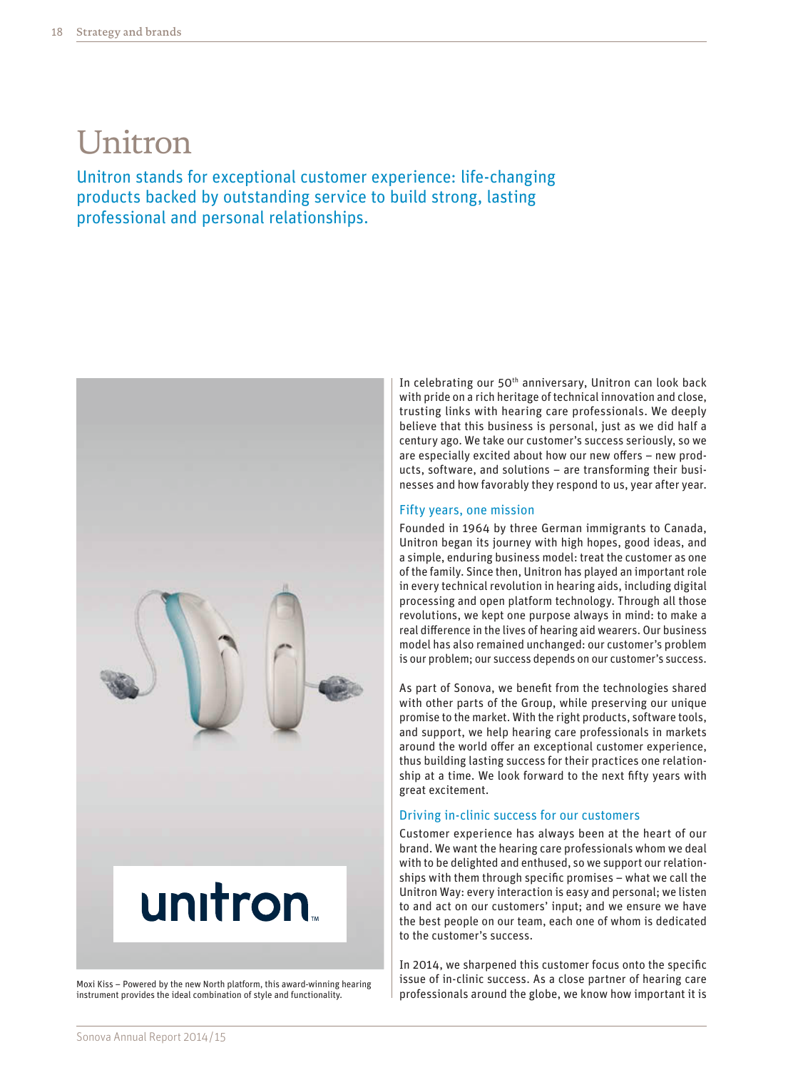# Unitron

Unitron stands for exceptional customer experience: life-changing products backed by outstanding service to build strong, lasting professional and personal relationships.



Moxi Kiss – Powered by the new North platform, this award-winning hearing instrument provides the ideal combination of style and functionality.

In celebrating our 50<sup>th</sup> anniversary, Unitron can look back with pride on a rich heritage of technical innovation and close, trusting links with hearing care professionals. We deeply believe that this business is personal, just as we did half a century ago. We take our customer's success seriously, so we are especially excited about how our new offers – new products, software, and solutions – are transforming their businesses and how favorably they respond to us, year after year.

### Fifty years, one mission

Founded in 1964 by three German immigrants to Canada, Unitron began its journey with high hopes, good ideas, and a simple, enduring business model: treat the customer as one of the family. Since then, Unitron has played an important role in every technical revolution in hearing aids, including digital processing and open platform technology. Through all those revolutions, we kept one purpose always in mind: to make a real difference in the lives of hearing aid wearers. Our business model has also remained unchanged: our customer's problem is our problem; our success depends on our customer's success.

As part of Sonova, we benefit from the technologies shared with other parts of the Group, while preserving our unique promise to the market. With the right products, software tools, and support, we help hearing care professionals in markets around the world offer an exceptional customer experience, thus building lasting success for their practices one relationship at a time. We look forward to the next fifty years with great excitement.

#### Driving in-clinic success for our customers

Customer experience has always been at the heart of our brand. We want the hearing care professionals whom we deal with to be delighted and enthused, so we support our relationships with them through specific promises – what we call the Unitron Way: every interaction is easy and personal; we listen to and act on our customers' input; and we ensure we have the best people on our team, each one of whom is dedicated to the customer's success.

In 2014, we sharpened this customer focus onto the specific issue of in-clinic success. As a close partner of hearing care professionals around the globe, we know how important it is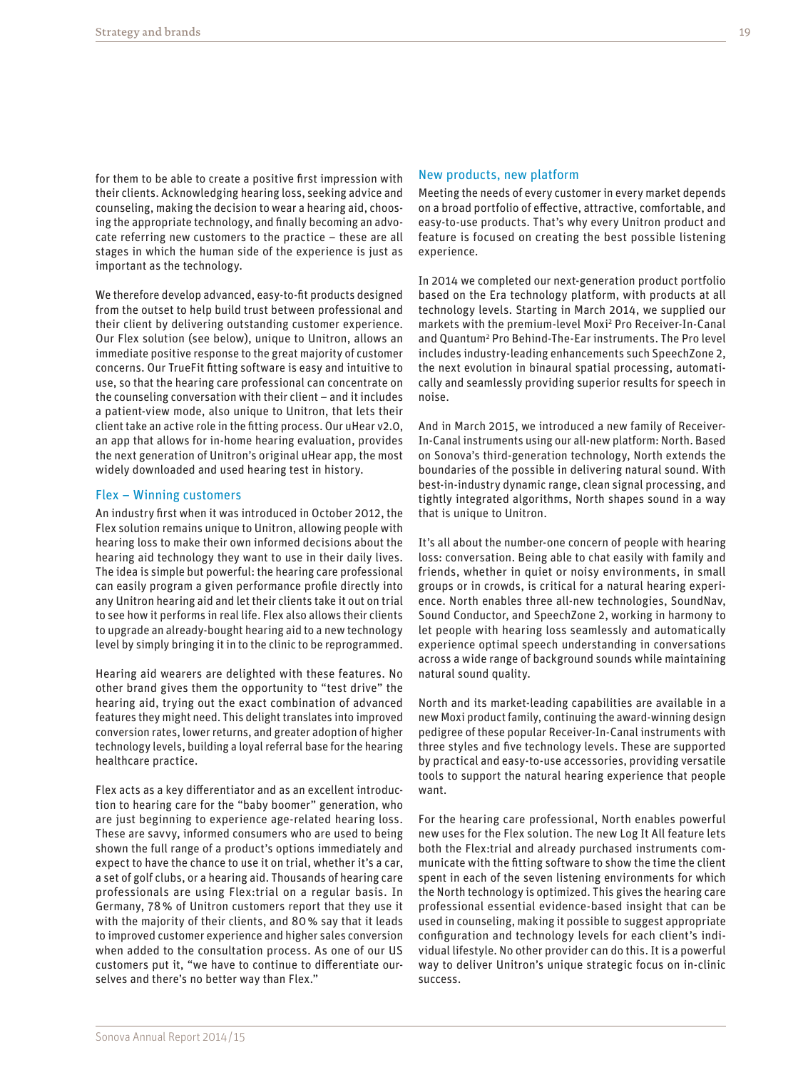for them to be able to create a positive first impression with their clients. Acknowledging hearing loss, seeking advice and counseling, making the decision to wear a hearing aid, choosing the appropriate technology, and finally becoming an advocate referring new customers to the practice – these are all stages in which the human side of the experience is just as important as the technology.

We therefore develop advanced, easy-to-fit products designed from the outset to help build trust between professional and their client by delivering outstanding customer experience. Our Flex solution (see below), unique to Unitron, allows an immediate positive response to the great majority of customer concerns. Our TrueFit fitting software is easy and intuitive to use, so that the hearing care professional can concentrate on the counseling conversation with their client – and it includes a patient-view mode, also unique to Unitron, that lets their client take an active role in the fitting process. Our uHear v2.0, an app that allows for in-home hearing evaluation, provides the next generation of Unitron's original uHear app, the most widely downloaded and used hearing test in history.

#### Flex – Winning customers

An industry first when it was introduced in October 2012, the Flex solution remains unique to Unitron, allowing people with hearing loss to make their own informed decisions about the hearing aid technology they want to use in their daily lives. The idea is simple but powerful: the hearing care professional can easily program a given performance profile directly into any Unitron hearing aid and let their clients take it out on trial to see how it performs in real life. Flex also allows their clients to upgrade an already-bought hearing aid to a new technology level by simply bringing it in to the clinic to be reprogrammed.

Hearing aid wearers are delighted with these features. No other brand gives them the opportunity to "test drive" the hearing aid, trying out the exact combination of advanced features they might need. This delight translates into improved conversion rates, lower returns, and greater adoption of higher technology levels, building a loyal referral base for the hearing healthcare practice.

Flex acts as a key differentiator and as an excellent introduction to hearing care for the "baby boomer" generation, who are just beginning to experience age-related hearing loss. These are savvy, informed consumers who are used to being shown the full range of a product's options immediately and expect to have the chance to use it on trial, whether it's a car, a set of golf clubs, or a hearing aid. Thousands of hearing care professionals are using Flex:trial on a regular basis. In Germany, 78% of Unitron customers report that they use it with the majority of their clients, and 80% say that it leads to improved customer experience and higher sales conversion when added to the consultation process. As one of our US customers put it, "we have to continue to differentiate ourselves and there's no better way than Flex."

#### New products, new platform

Meeting the needs of every customer in every market depends on a broad portfolio of effective, attractive, comfortable, and easy-to-use products. That's why every Unitron product and feature is focused on creating the best possible listening experience.

In 2014 we completed our next-generation product portfolio based on the Era technology platform, with products at all technology levels. Starting in March 2014, we supplied our markets with the premium-level Moxi<sup>2</sup> Pro Receiver-In-Canal and Quantum<sup>2</sup> Pro Behind-The-Ear instruments. The Pro level includes industry-leading enhancements such SpeechZone 2, the next evolution in binaural spatial processing, automatically and seamlessly providing superior results for speech in noise.

And in March 2015, we introduced a new family of Receiver-In-Canal instruments using our all-new platform: North. Based on Sonova's third-generation technology, North extends the boundaries of the possible in delivering natural sound. With best-in-industry dynamic range, clean signal processing, and tightly integrated algorithms, North shapes sound in a way that is unique to Unitron.

It's all about the number-one concern of people with hearing loss: conversation. Being able to chat easily with family and friends, whether in quiet or noisy environments, in small groups or in crowds, is critical for a natural hearing experience. North enables three all-new technologies, SoundNav, Sound Conductor, and SpeechZone 2, working in harmony to let people with hearing loss seamlessly and automatically experience optimal speech understanding in conversations across a wide range of background sounds while maintaining natural sound quality.

North and its market-leading capabilities are available in a new Moxi product family, continuing the award-winning design pedigree of these popular Receiver-In-Canal instruments with three styles and five technology levels. These are supported by practical and easy-to-use accessories, providing versatile tools to support the natural hearing experience that people want.

For the hearing care professional, North enables powerful new uses for the Flex solution. The new Log It All feature lets both the Flex:trial and already purchased instruments communicate with the fitting software to show the time the client spent in each of the seven listening environments for which the North technology is optimized. This gives the hearing care professional essential evidence-based insight that can be used in counseling, making it possible to suggest appropriate configuration and technology levels for each client's individual lifestyle. No other provider can do this. It is a powerful way to deliver Unitron's unique strategic focus on in-clinic success.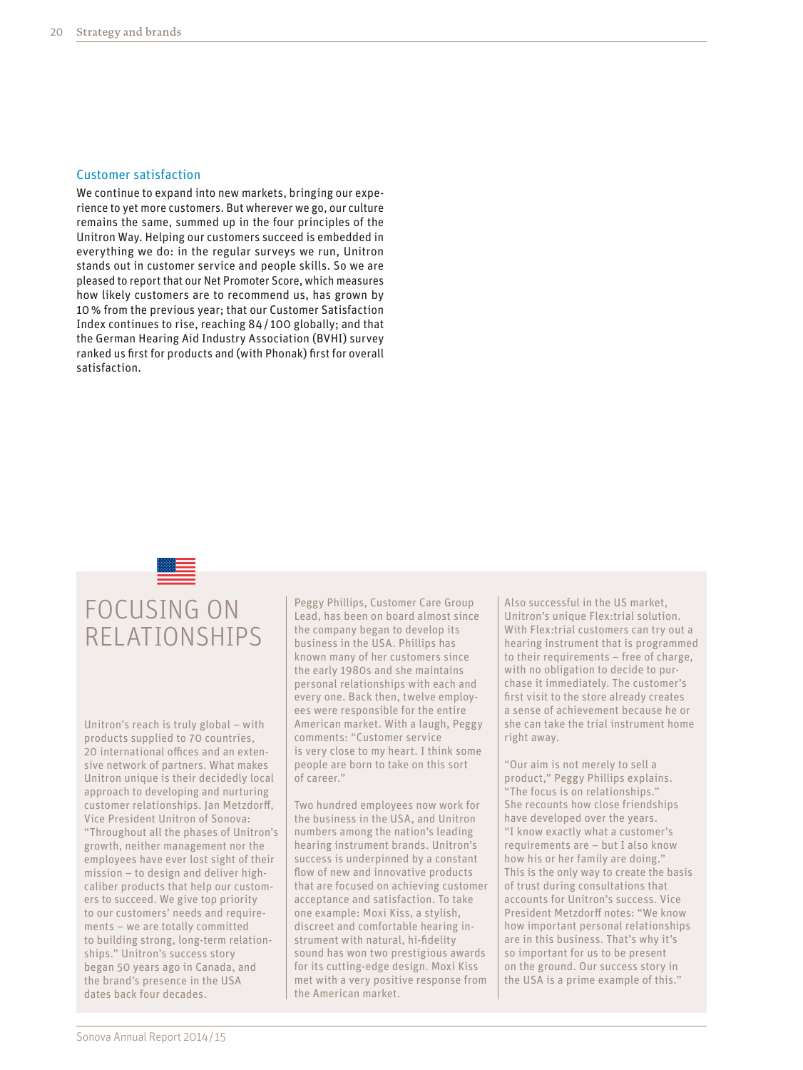#### Customer satisfaction

We continue to expand into new markets, bringing our experience to yet more customers. But wherever we go, our culture remains the same, summed up in the four principles of the Unitron Way. Helping our customers succeed is embedded in everything we do: in the regular surveys we run, Unitron stands out in customer service and people skills. So we are pleased to report that our Net Promoter Score, which measures how likely customers are to recommend us, has grown by 10% from the previous year; that our Customer Satisfaction Index continues to rise, reaching 84/ 100 globally; and that the German Hearing Aid Industry Association (BVHI) survey ranked us first for products and (with Phonak) first for overall satisfaction.

## FOCUSING ON RELATIONSHIPS

Unitron's reach is truly global – with products supplied to 70 countries, 20 international offices and an extensive network of partners. What makes Unitron unique is their decidedly local approach to developing and nurturing customer relationships. Jan Metzdorff, Vice President Unitron of Sonova: "Throughout all the phases of Unitron's growth, neither management nor the employees have ever lost sight of their mission – to design and deliver highcaliber products that help our customers to succeed. We give top priority to our customers' needs and requirements – we are totally committed to building strong, long-term relationships." Unitron's success story began 50 years ago in Canada, and the brand's presence in the USA dates back four decades.

Peggy Phillips, Customer Care Group Lead, has been on board almost since the company began to develop its business in the USA. Phillips has known many of her customers since the early 1980s and she maintains personal relationships with each and every one. Back then, twelve employees were responsible for the entire American market. With a laugh, Peggy comments: "Customer service is very close to my heart. I think some people are born to take on this sort of career."

Two hundred employees now work for the business in the USA, and Unitron numbers among the nation's leading hearing instrument brands. Unitron's success is underpinned by a constant flow of new and innovative products that are focused on achieving customer acceptance and satisfaction. To take one example: Moxi Kiss, a stylish, discreet and comfortable hearing instrument with natural, hi-fidelity sound has won two prestigious awards for its cutting-edge design. Moxi Kiss met with a very positive response from the American market.

Also successful in the US market, Unitron's unique Flex:trial solution. With Flex:trial customers can try out a hearing instrument that is programmed to their requirements – free of charge, with no obligation to decide to purchase it immediately. The customer's first visit to the store already creates a sense of achievement because he or she can take the trial instrument home right away.

"Our aim is not merely to sell a product," Peggy Phillips explains. "The focus is on relationships." She recounts how close friendships have developed over the years. "I know exactly what a customer's requirements are – but I also know how his or her family are doing." This is the only way to create the basis of trust during consultations that accounts for Unitron's success. Vice President Metzdorff notes: "We know how important personal relationships are in this business. That's why it's so important for us to be present on the ground. Our success story in the USA is a prime example of this."